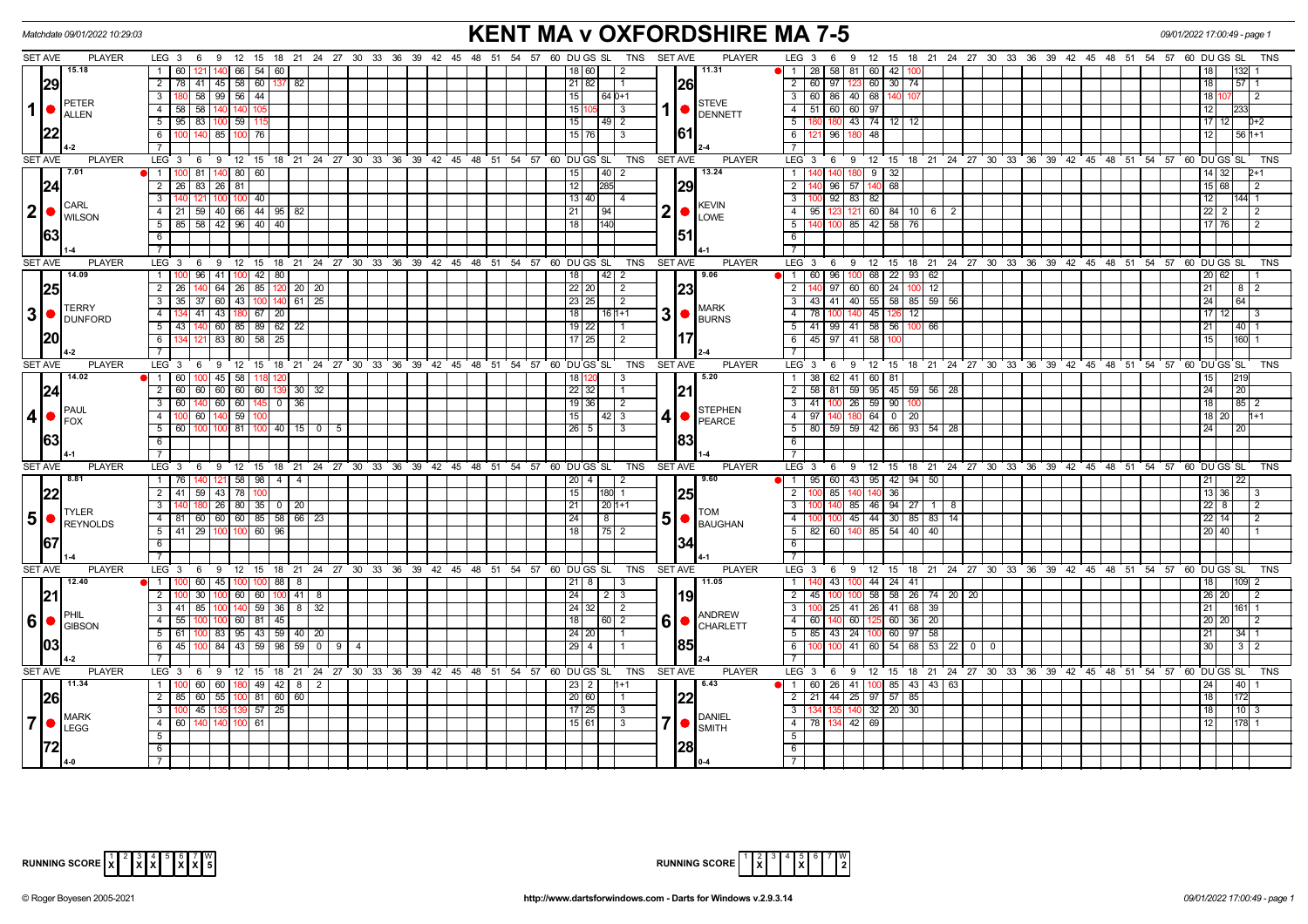| <b>KENT MA v OXFORDSHIRE MA 7-5</b><br>Matchdate 09/01/2022 10:29:03<br>09/01/2022 17:00:49 - page 1<br>LEG 3 6 9 12 15 18 21 24 27 30 33 36 39 42 45 48 51 54 57 60 DUGS SL TNS SETAVE<br><b>PLAYER</b><br>LEG 3 6 9 12 15 18 21 24 27 30 33 36 39 42 45 48 51 54 57 60 DUGS SL<br><b>SET AVE</b><br><b>PLAYER</b> |                |                                                              |                                                                       |               |                 |                                                              |  |                         |  |  |  |  |  |  |        |                     |                                                                          |                |           |                                                                 |                                                                      |                      |     |                                                                |    |       |  |  |  |  |                       |          |                |
|---------------------------------------------------------------------------------------------------------------------------------------------------------------------------------------------------------------------------------------------------------------------------------------------------------------------|----------------|--------------------------------------------------------------|-----------------------------------------------------------------------|---------------|-----------------|--------------------------------------------------------------|--|-------------------------|--|--|--|--|--|--|--------|---------------------|--------------------------------------------------------------------------|----------------|-----------|-----------------------------------------------------------------|----------------------------------------------------------------------|----------------------|-----|----------------------------------------------------------------|----|-------|--|--|--|--|-----------------------|----------|----------------|
|                                                                                                                                                                                                                                                                                                                     |                |                                                              |                                                                       |               |                 |                                                              |  |                         |  |  |  |  |  |  |        |                     |                                                                          |                |           |                                                                 |                                                                      |                      |     |                                                                |    |       |  |  |  |  |                       |          | TNS            |
|                                                                                                                                                                                                                                                                                                                     |                | 15.18                                                        | 1 60                                                                  |               |                 | $121$ $140$ 66 54 60                                         |  |                         |  |  |  |  |  |  |        | 18   60             | $\overline{2}$                                                           |                |           | 11.31                                                           | 1   28   58   81   60   42   100                                     |                      |     |                                                                |    |       |  |  |  |  |                       |          |                |
|                                                                                                                                                                                                                                                                                                                     | 29             |                                                              | 2   78   41   45   58   60   137   82                                 |               |                 |                                                              |  |                         |  |  |  |  |  |  |        | 21 82               | I 1                                                                      |                | <b>26</b> |                                                                 | 2 60 97 123 60 30 74                                                 |                      |     |                                                                |    |       |  |  |  |  | 18                    | 57       |                |
|                                                                                                                                                                                                                                                                                                                     |                |                                                              | 3 I                                                                   |               | 180 58 99 56 44 |                                                              |  |                         |  |  |  |  |  |  | 15     |                     | 64 0+1                                                                   |                |           |                                                                 | 3 60 86 40 68 140                                                    |                      |     |                                                                |    |       |  |  |  |  | 18                    |          | $\mathcal{P}$  |
| $\mathbf 1$                                                                                                                                                                                                                                                                                                         |                | PETER<br><b>ALLEN</b>                                        | 4 58 58 140 140                                                       |               |                 |                                                              |  |                         |  |  |  |  |  |  | 15 1   |                     | $05 \quad 3$                                                             |                |           | <b>STEVE</b><br>$1  \bullet  $ DENNETT                          | 4 51 60 60 97                                                        |                      |     |                                                                |    |       |  |  |  |  | 12                    |          |                |
|                                                                                                                                                                                                                                                                                                                     |                |                                                              | $\overline{5}$ 95 83 100 59                                           |               |                 | -115                                                         |  |                         |  |  |  |  |  |  | 15     |                     |                                                                          |                |           |                                                                 | $5-1$                                                                | 180 43 74 12 12      |     |                                                                |    |       |  |  |  |  | 17 12                 |          | $D+2$          |
|                                                                                                                                                                                                                                                                                                                     |                |                                                              | 6   100   140   85   100   76                                         |               |                 |                                                              |  |                         |  |  |  |  |  |  |        | $15 \mid 76 \mid$ 3 |                                                                          |                | 161       |                                                                 | 6                                                                    | 96 180 48            |     |                                                                |    |       |  |  |  |  | l 12 I                | l 56 h+1 |                |
|                                                                                                                                                                                                                                                                                                                     |                |                                                              | 71                                                                    |               |                 |                                                              |  |                         |  |  |  |  |  |  |        |                     |                                                                          |                |           |                                                                 | $\overline{7}$                                                       |                      |     |                                                                |    |       |  |  |  |  |                       |          |                |
|                                                                                                                                                                                                                                                                                                                     | <b>SET AVE</b> | <b>PLAYER</b>                                                | LEG 3 6 9 12 15 18 21 24 27 30 33 36 39 42 45 48 51 54 57 60 DUGS SL  |               |                 |                                                              |  |                         |  |  |  |  |  |  |        |                     | <b>TNS</b>                                                               | <b>SET AVE</b> |           | <b>PLAYER</b>                                                   | LEG 3 6 9 12 15 18 21 24 27 30 33 36 39 42 45 48 51 54 57 60 DUGS SL |                      |     |                                                                |    |       |  |  |  |  |                       |          | TNS            |
|                                                                                                                                                                                                                                                                                                                     |                | 7.01                                                         | 1   100   81   140   80   60                                          |               |                 |                                                              |  |                         |  |  |  |  |  |  | 15     |                     | $\vert 40 \vert 2$                                                       |                |           | 13.24                                                           | 1 <sup>1</sup>                                                       | 140 180 9 32         |     |                                                                |    |       |  |  |  |  | $14$ 32               |          |                |
|                                                                                                                                                                                                                                                                                                                     | 24             |                                                              | 2 26 83 26 81                                                         |               |                 |                                                              |  |                         |  |  |  |  |  |  | 12     | 285                 |                                                                          |                | 29        |                                                                 | $\overline{2}$                                                       | 96 57 140 68         |     |                                                                |    |       |  |  |  |  | 15 68                 |          | -2             |
|                                                                                                                                                                                                                                                                                                                     |                |                                                              | 3   140   121   100   100   40                                        |               |                 |                                                              |  |                         |  |  |  |  |  |  |        | $13 40 $ 4          |                                                                          |                |           |                                                                 | $\overline{\phantom{a}3}$                                            | $100$ $92$ $83$ $82$ |     |                                                                |    |       |  |  |  |  | $\vert 12 \vert$      | 144 1    |                |
|                                                                                                                                                                                                                                                                                                                     |                | <b>CARL</b><br>$ 2  \bullet  _{\text{WILSON}}^{\text{CARL}}$ | 4 21 59 40 66 44 95 82                                                |               |                 |                                                              |  |                         |  |  |  |  |  |  | 21     | $\overline{94}$     |                                                                          | $2  \bullet  $ |           | <b>KEVIN</b>                                                    | 4   95   123   121   60   84   10   6   2                            |                      |     |                                                                |    |       |  |  |  |  | $\sqrt{22}$ 2         |          | $\sqrt{2}$     |
|                                                                                                                                                                                                                                                                                                                     |                |                                                              | 5   85   58   42   96   40   40                                       |               |                 |                                                              |  |                         |  |  |  |  |  |  | l 18 I | 140                 |                                                                          |                |           | <b>LOWE</b>                                                     | 5 <sub>1</sub>                                                       |                      |     | 140 100 85 42 58 76                                            |    |       |  |  |  |  | l 17 l 76 l           |          | $\overline{2}$ |
|                                                                                                                                                                                                                                                                                                                     |                |                                                              | 6                                                                     |               |                 |                                                              |  |                         |  |  |  |  |  |  |        |                     |                                                                          |                | 151       |                                                                 | 6                                                                    |                      |     |                                                                |    |       |  |  |  |  |                       |          |                |
|                                                                                                                                                                                                                                                                                                                     |                |                                                              | 71                                                                    |               |                 |                                                              |  |                         |  |  |  |  |  |  |        |                     |                                                                          |                |           |                                                                 | $\overline{7}$                                                       |                      |     |                                                                |    |       |  |  |  |  |                       |          |                |
|                                                                                                                                                                                                                                                                                                                     | <b>SET AVE</b> | <b>PLAYER</b>                                                | $LEG_3$                                                               | 6             |                 | 9 12 15 18 21 24 27 30 33 36 39 42 45 48 51 54 57 60 DUGS SL |  |                         |  |  |  |  |  |  |        |                     | TNS                                                                      | <b>SET AVE</b> |           | <b>PLAYER</b>                                                   | LEG <sub>3</sub>                                                     |                      |     | 6 9 12 15 18 21 24 27 30 33 36 39 42 45 48 51 54 57 60 DUGSSL  |    |       |  |  |  |  |                       |          | <b>TNS</b>     |
|                                                                                                                                                                                                                                                                                                                     |                | 14.09                                                        | 1   100   96   41   100   42   80                                     |               |                 |                                                              |  |                         |  |  |  |  |  |  | 18     |                     |                                                                          |                |           | 9.06                                                            | 1   60   96   100   68   22   93   62                                |                      |     |                                                                |    |       |  |  |  |  | 20 62                 |          |                |
|                                                                                                                                                                                                                                                                                                                     | 25             |                                                              | $2 \mid 26 \mid$                                                      | 140           |                 | $64$   26   85   120   20   20                               |  |                         |  |  |  |  |  |  |        | 22 20               | $\vert$ 2                                                                |                | 23        |                                                                 | $\overline{2}$                                                       |                      |     | $97$ 60 60 24 100 12                                           |    |       |  |  |  |  | $\boxed{21}$          | $81$     |                |
|                                                                                                                                                                                                                                                                                                                     |                |                                                              | $3 \mid 35 \mid 37 \mid 60 \mid 43 \mid 100 \mid 140 \mid 61 \mid 25$ |               |                 |                                                              |  |                         |  |  |  |  |  |  |        | $\sqrt{23}$ 25      | $\overline{2}$                                                           |                |           |                                                                 | $3$   43   41   40   55   58   85   59   56                          |                      |     |                                                                |    |       |  |  |  |  | 24                    | 64       |                |
|                                                                                                                                                                                                                                                                                                                     |                | <b>TERRY</b><br>$3$ $\bullet$ $\frac{1250}{DUNFORM}$         | 4                                                                     |               |                 | 34 41 43 180 67 20                                           |  |                         |  |  |  |  |  |  | 18     |                     | $16 1+1$                                                                 |                |           | <b>MARK</b><br>$3$ $\bullet$ $\frac{\text{NINR}}{\text{BURNS}}$ | $4 \overline{\smash{\big)}\ 78}$                                     | 100 140 45 126       |     | 12                                                             |    |       |  |  |  |  | $17$   12             |          |                |
|                                                                                                                                                                                                                                                                                                                     |                |                                                              | $5 \mid 43$                                                           | 140           |                 | 60 85 89 62 22                                               |  |                         |  |  |  |  |  |  |        | $19$   22           |                                                                          |                |           |                                                                 | $5$   41   99   41   58   56   100                                   |                      |     |                                                                | 66 |       |  |  |  |  | 21                    | 40       |                |
|                                                                                                                                                                                                                                                                                                                     | I20            |                                                              | $6 \mid$<br>134                                                       |               |                 | $121 \mid 83 \mid 80 \mid 58 \mid 25 \mid$                   |  |                         |  |  |  |  |  |  |        | 17 25               | $\overline{2}$                                                           |                |           |                                                                 | 6 45 97 41 58                                                        |                      | 100 |                                                                |    |       |  |  |  |  | 15                    | 160      |                |
|                                                                                                                                                                                                                                                                                                                     |                |                                                              | -7 I                                                                  |               |                 |                                                              |  |                         |  |  |  |  |  |  |        |                     |                                                                          |                |           |                                                                 | $\overline{7}$                                                       |                      |     |                                                                |    |       |  |  |  |  |                       |          |                |
|                                                                                                                                                                                                                                                                                                                     | <b>SET AVE</b> | <b>PLAYER</b>                                                | LEG 3 6 9 12 15 18 21 24 27 30 33 36 39 42 45 48 51 54 57 60 DUGS SL  |               |                 |                                                              |  |                         |  |  |  |  |  |  |        |                     | TNS SET AVE                                                              |                |           | <b>PLAYER</b>                                                   | LEG 3 6 9 12 15 18 21 24 27 30 33 36 39 42 45 48 51 54 57 60 DUGS SL |                      |     |                                                                |    |       |  |  |  |  |                       |          | <b>TNS</b>     |
|                                                                                                                                                                                                                                                                                                                     |                | 14.02                                                        | $1$ 60                                                                | 100           | 45 58           | 118                                                          |  |                         |  |  |  |  |  |  |        | 18 120              | $\vert$ 3                                                                |                |           | 5.20                                                            | 1 38 62 41 60 81                                                     |                      |     |                                                                |    |       |  |  |  |  | 15                    | 1219     |                |
|                                                                                                                                                                                                                                                                                                                     | 24             |                                                              | 2   60   60   60   60   60   139                                      |               |                 |                                                              |  | $30 \mid 32$            |  |  |  |  |  |  |        | $22 \mid 32 \mid$   | $\overline{1}$                                                           |                |           |                                                                 | 2 58 81 59 95 45 59 56 28                                            |                      |     |                                                                |    |       |  |  |  |  | 24                    | 20       |                |
|                                                                                                                                                                                                                                                                                                                     |                | <b>IPAUL</b>                                                 | $3 \mid 60 \mid$                                                      | 140 l         | 60   60         | 145   0   36                                                 |  |                         |  |  |  |  |  |  |        | $19$   36           | $\sqrt{2}$                                                               |                |           | <b>STEPHEN</b>                                                  | 3 41 100 26 59 90                                                    |                      |     |                                                                |    |       |  |  |  |  | 18                    | 85       |                |
| $\vert$                                                                                                                                                                                                                                                                                                             |                | <b>FOX</b>                                                   | $-4$                                                                  | 60   140   59 |                 |                                                              |  |                         |  |  |  |  |  |  | 15     |                     | 42 3                                                                     | 4 •            |           | PEARCE                                                          | 4 97 140 180 64 0 20                                                 |                      |     |                                                                |    |       |  |  |  |  | $18$   20             |          | $H+1$          |
|                                                                                                                                                                                                                                                                                                                     |                |                                                              | 5 60                                                                  | 100 100 81    |                 |                                                              |  | $100$   40   15   0   5 |  |  |  |  |  |  |        | 26   5              | $\overline{3}$                                                           |                |           |                                                                 | 5 80 59 59 42 66 93 54 28                                            |                      |     |                                                                |    |       |  |  |  |  | 24                    | 20       |                |
|                                                                                                                                                                                                                                                                                                                     | 1631           |                                                              | $6 \mid$                                                              |               |                 |                                                              |  |                         |  |  |  |  |  |  |        |                     |                                                                          |                | 183       |                                                                 | 6                                                                    |                      |     |                                                                |    |       |  |  |  |  |                       |          |                |
|                                                                                                                                                                                                                                                                                                                     |                |                                                              | $\overline{7}$                                                        |               |                 |                                                              |  |                         |  |  |  |  |  |  |        |                     |                                                                          |                |           |                                                                 | $\overline{7}$                                                       |                      |     |                                                                |    |       |  |  |  |  |                       |          |                |
|                                                                                                                                                                                                                                                                                                                     | <b>SET AVE</b> | <b>PLAYER</b>                                                | $LEG \ 3$                                                             | 6             |                 | 9 12 15 18 21 24 27 30 33 36 39 42 45 48 51 54 57 60 DUGS SL |  |                         |  |  |  |  |  |  |        |                     | <b>TNS</b>                                                               | <b>SET AVE</b> |           | <b>PLAYER</b>                                                   | LEG <sub>3</sub>                                                     |                      |     | 6 9 12 15 18 21 24 27 30 33 36 39 42 45 48 51 54 57 60 DUGS SL |    |       |  |  |  |  |                       |          | <b>TNS</b>     |
|                                                                                                                                                                                                                                                                                                                     |                | 8.81                                                         | 1   76   140   121   58   98   4   4                                  |               |                 |                                                              |  |                         |  |  |  |  |  |  |        | 20   4              | l 2                                                                      |                |           | 9.60                                                            | 1 95 60 43 95 42 94 50                                               |                      |     |                                                                |    |       |  |  |  |  | 21                    | 22       |                |
|                                                                                                                                                                                                                                                                                                                     | 22             |                                                              | 2 41 59 43 78                                                         |               |                 | 100                                                          |  |                         |  |  |  |  |  |  | 15     |                     | 180 1                                                                    |                | 25        |                                                                 | $\overline{2}$                                                       | 85 140<br>140        | 36  |                                                                |    |       |  |  |  |  | 13 36                 |          |                |
|                                                                                                                                                                                                                                                                                                                     |                | <b>TYLER</b>                                                 | $\overline{\phantom{a}3}$                                             |               |                 | 180 26 80 35 0 20                                            |  |                         |  |  |  |  |  |  | 21     |                     | $1201+1$                                                                 |                |           | <b>I</b> TOM                                                    | $\overline{3}$                                                       |                      |     | 140 85 46 94 27 1 8                                            |    |       |  |  |  |  | 22 8                  |          | 2              |
|                                                                                                                                                                                                                                                                                                                     |                | $\vert 5 \vert$ $\bullet$ $\vert_{\sf REYNOLDS}$             | 4 81 60 60 60 85 58 66 23                                             |               |                 |                                                              |  |                         |  |  |  |  |  |  | 24     | 18 I                |                                                                          |                |           | $5 \nvert \bullet \nvert_{\texttt{BAUGHAN}}$                    | 4                                                                    |                      |     | 100 100 45 44 30 85 83 14                                      |    |       |  |  |  |  | 22 14                 |          | 2              |
|                                                                                                                                                                                                                                                                                                                     |                |                                                              | $5$   41   29   100   100   60   96                                   |               |                 |                                                              |  |                         |  |  |  |  |  |  | 18     |                     |                                                                          |                |           |                                                                 | 5   82   60   140   85   54   40   40                                |                      |     |                                                                |    |       |  |  |  |  | 20   40               |          |                |
|                                                                                                                                                                                                                                                                                                                     | 167            |                                                              | 6                                                                     |               |                 |                                                              |  |                         |  |  |  |  |  |  |        |                     |                                                                          |                |           |                                                                 | 6                                                                    |                      |     |                                                                |    |       |  |  |  |  |                       |          |                |
|                                                                                                                                                                                                                                                                                                                     |                |                                                              | <b>7</b>                                                              |               |                 |                                                              |  |                         |  |  |  |  |  |  |        |                     |                                                                          |                |           |                                                                 | $\overline{7}$                                                       |                      |     |                                                                |    |       |  |  |  |  |                       |          |                |
|                                                                                                                                                                                                                                                                                                                     | <b>SET AVE</b> | <b>PLAYER</b>                                                |                                                                       |               |                 |                                                              |  |                         |  |  |  |  |  |  |        |                     | LEG 3 6 9 12 15 18 21 24 27 30 33 36 39 42 45 48 51 54 57 60 DUGS SL TNS | <b>SET AVE</b> |           | <b>PLAYER</b>                                                   | LEG 3 6 9 12 15 18 21 24 27 30 33 36 39 42 45 48 51 54 57 60 DUGS SL |                      |     |                                                                |    |       |  |  |  |  |                       |          | <b>TNS</b>     |
|                                                                                                                                                                                                                                                                                                                     |                | 12.40                                                        | 1   100   60   45   100   100   88   8                                |               |                 |                                                              |  |                         |  |  |  |  |  |  |        | $21 \mid 8 \mid$    | $\overline{1}$ 3                                                         |                |           | 11.05                                                           | $\overline{1}$                                                       | 43 100 44 24 41      |     |                                                                |    |       |  |  |  |  | 18                    |          | 2              |
|                                                                                                                                                                                                                                                                                                                     | 21             |                                                              | $\overline{2}$                                                        | 30            |                 | $100$ 60 60 $100$ 41 8                                       |  |                         |  |  |  |  |  |  | 24     |                     | $\vert 2 \vert 3$                                                        |                | 19        |                                                                 | $2 \mid 45$                                                          |                      |     | 100 100 58 58 26 74 20 20                                      |    |       |  |  |  |  | l 26   20 l           |          | 2              |
|                                                                                                                                                                                                                                                                                                                     |                | <b>IPHIL</b>                                                 | $3   41   85   100   140   59   36   8   32$                          |               |                 |                                                              |  |                         |  |  |  |  |  |  |        |                     | $\vert$ 2                                                                |                |           | <b>ANDREW</b>                                                   | $3^{\circ}$                                                          |                      |     | 100 25 41 26 41 68 39                                          |    |       |  |  |  |  | 21                    | 1611     |                |
| 6 <sup>1</sup>                                                                                                                                                                                                                                                                                                      |                | GIBSON                                                       | $4 \mid 55$                                                           |               |                 | 100 100 60 81 45                                             |  |                         |  |  |  |  |  |  | 18     |                     | 16012                                                                    |                |           | $60$ $\sigma$ $\sim$ $\sim$                                     | 4 60 140 60 125 60 36 20                                             |                      |     |                                                                |    |       |  |  |  |  | 20<br>20 <sub>1</sub> |          | 2              |
|                                                                                                                                                                                                                                                                                                                     |                |                                                              | $5 \mid 61 \mid$                                                      |               |                 | 100 83 95 43 59 40 20                                        |  |                         |  |  |  |  |  |  |        | $24$   20           | l 1                                                                      |                | 1851      |                                                                 | 5 85 43 24 100 60 97 58                                              |                      |     |                                                                |    |       |  |  |  |  | 21                    | 34       |                |
|                                                                                                                                                                                                                                                                                                                     |                |                                                              | $6 \mid 45$<br>$\overline{7}$                                         |               |                 | 84 43 59 98 59 0 9 4                                         |  |                         |  |  |  |  |  |  |        | $\boxed{29}$ 4      |                                                                          |                |           |                                                                 | 6<br>$\overline{7}$                                                  |                      |     | 41 60 54 68 53 22                                              |    | $0$ 0 |  |  |  |  | 30                    | 3 2      |                |
|                                                                                                                                                                                                                                                                                                                     | <b>SET AVE</b> | <b>PLAYER</b>                                                | LEG 3 6 9 12 15 18 21 24 27 30 33 36 39 42 45 48 51 54 57 60 DUGS SL  |               |                 |                                                              |  |                         |  |  |  |  |  |  |        |                     | TNS                                                                      | <b>SET AVE</b> |           | <b>PLAYER</b>                                                   | LEG 3 6 9 12 15 18 21 24 27 30 33 36 39 42 45 48 51 54 57 60 DUGS SL |                      |     |                                                                |    |       |  |  |  |  |                       |          | <b>TNS</b>     |
|                                                                                                                                                                                                                                                                                                                     |                | 11.34                                                        | 1 100                                                                 |               |                 | 60 60 180 49 42 8 2                                          |  |                         |  |  |  |  |  |  |        | 23   2              | 1+1                                                                      |                |           | 6.43                                                            | 1 60 26 41 100 85 43 43 63                                           |                      |     |                                                                |    |       |  |  |  |  | 24                    | 40       |                |
|                                                                                                                                                                                                                                                                                                                     | 26             |                                                              | $2 \mid 85$                                                           | $60$ 55 $100$ |                 | 81   60   60                                                 |  |                         |  |  |  |  |  |  |        | 20 60               |                                                                          |                | 22        |                                                                 | 2 21 44 25 97 57 85                                                  |                      |     |                                                                |    |       |  |  |  |  | 18                    | 172      |                |
|                                                                                                                                                                                                                                                                                                                     |                |                                                              | 3 <sup>1</sup>                                                        | 45            |                 | $57 \mid 25$                                                 |  |                         |  |  |  |  |  |  |        | 17 25               | $\sqrt{3}$                                                               |                |           |                                                                 | 3 <sup>1</sup><br>134                                                | 135 140 32 20        |     | 30                                                             |    |       |  |  |  |  | 18                    | $10$ 3   |                |
| $\overline{7}$                                                                                                                                                                                                                                                                                                      |                | <b>MARK</b>                                                  | 4 60                                                                  | 140  140  100 |                 | 61                                                           |  |                         |  |  |  |  |  |  |        | 15 61               | $\vert$ 3                                                                |                |           | DANIEL                                                          | 4 78                                                                 | 134 42 69            |     |                                                                |    |       |  |  |  |  | 12                    | 178      |                |
|                                                                                                                                                                                                                                                                                                                     |                | LEGG                                                         | 5                                                                     |               |                 |                                                              |  |                         |  |  |  |  |  |  |        |                     |                                                                          |                |           | <b>SMITH</b>                                                    | 5 <sup>5</sup>                                                       |                      |     |                                                                |    |       |  |  |  |  |                       |          |                |
|                                                                                                                                                                                                                                                                                                                     |                |                                                              | 6                                                                     |               |                 |                                                              |  |                         |  |  |  |  |  |  |        |                     |                                                                          |                | <b>28</b> |                                                                 | 6                                                                    |                      |     |                                                                |    |       |  |  |  |  |                       |          |                |
|                                                                                                                                                                                                                                                                                                                     |                |                                                              |                                                                       |               |                 |                                                              |  |                         |  |  |  |  |  |  |        |                     |                                                                          |                |           |                                                                 | $7^{\circ}$                                                          |                      |     |                                                                |    |       |  |  |  |  |                       |          |                |

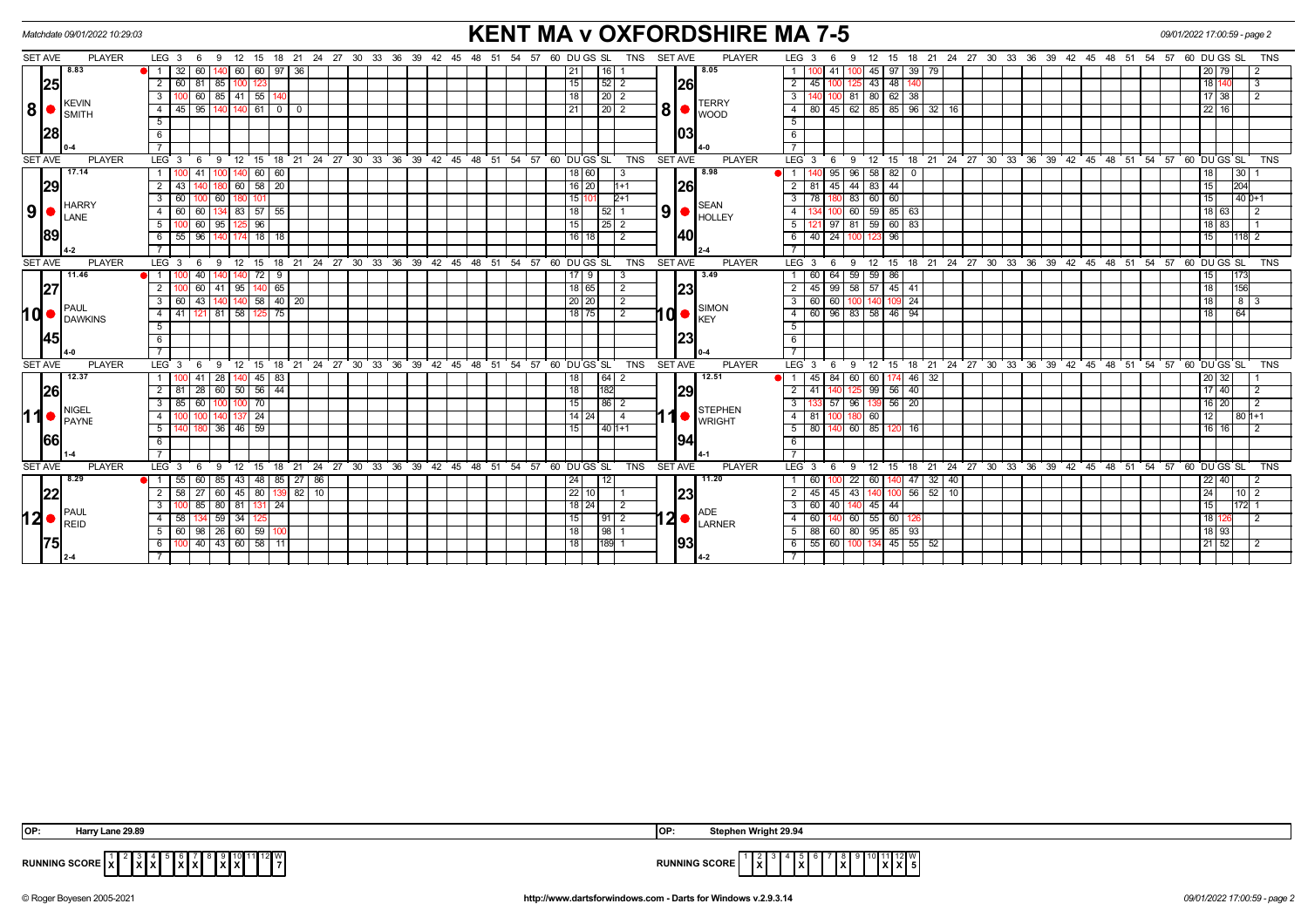|                |           | <b>KENT MA v OXFORDSHIRE MA 7-5</b><br>Matchdate 09/01/2022 10:29:03<br><b>TNS</b><br><b>SET AVE</b><br><b>PLAYER</b><br><b>PLAYER</b><br>$LEG_3$ 6<br>12 15 18 21 24 27 30 33 36 39 42 45 48 51 54<br>57 60 DU GS SL<br>LEG <sub>3</sub><br>15 18 21 24 27 30 33 36 39 42 45 48 51 54 57 60 DUGS SL<br>- 9<br>12<br>9<br>60 60 97 36 |  |                        |                |                   |           |                 |                         |         |                        |              |    |               |  |                                                            |    |               |  |            |                 | 09/01/2022 17:00:59 - page 2 |                |                  |            |            |                |              |  |                                              |      |                  |                          |                |                       |                 |     |        |            |       |  |  |                                                         |  |    |    |                               |    |           |     |                |            |
|----------------|-----------|---------------------------------------------------------------------------------------------------------------------------------------------------------------------------------------------------------------------------------------------------------------------------------------------------------------------------------------|--|------------------------|----------------|-------------------|-----------|-----------------|-------------------------|---------|------------------------|--------------|----|---------------|--|------------------------------------------------------------|----|---------------|--|------------|-----------------|------------------------------|----------------|------------------|------------|------------|----------------|--------------|--|----------------------------------------------|------|------------------|--------------------------|----------------|-----------------------|-----------------|-----|--------|------------|-------|--|--|---------------------------------------------------------|--|----|----|-------------------------------|----|-----------|-----|----------------|------------|
| SET AVE        |           |                                                                                                                                                                                                                                                                                                                                       |  |                        |                |                   |           |                 |                         |         |                        |              |    |               |  |                                                            |    |               |  |            |                 |                              |                |                  |            |            |                |              |  |                                              |      |                  |                          |                |                       |                 |     |        |            |       |  |  |                                                         |  |    |    |                               |    |           |     |                | TNS        |
|                |           | 8.83                                                                                                                                                                                                                                                                                                                                  |  |                        | 32             | 60                |           |                 |                         |         |                        |              |    |               |  |                                                            |    |               |  |            |                 |                              |                | 16 I             |            |            |                |              |  | 8.05                                         |      |                  |                          | 41             |                       | 45              |     |        | 97 39 79   |       |  |  |                                                         |  |    |    |                               |    | 20 79     |     | -2             |            |
|                | 25        |                                                                                                                                                                                                                                                                                                                                       |  | 2                      | 60 I 81 I      |                   | 85        |                 |                         |         |                        |              |    |               |  |                                                            |    |               |  |            |                 | 15                           |                | 52 2             |            |            |                | <b>26</b>    |  |                                              |      | $2 \mid 45$      |                          |                |                       | 43              | 48  |        |            |       |  |  |                                                         |  |    |    |                               | 18 |           |     | 3              |            |
|                |           | <b>KEVIN</b>                                                                                                                                                                                                                                                                                                                          |  | $\mathbf{3}$           |                |                   |           |                 | 60   85   41   55   140 |         |                        |              |    |               |  |                                                            |    |               |  |            |                 | 18 <sup>1</sup>              |                | $\boxed{20}$ 2   |            |            |                |              |  | <b>TERRY</b>                                 |      | 3 I              |                          |                | 100 81 80 62 38       |                 |     |        |            |       |  |  |                                                         |  |    |    |                               |    | 17 38     |     | $\overline{2}$ |            |
| 8 •            |           | SMITH                                                                                                                                                                                                                                                                                                                                 |  | $\overline{4}$         | 45             | l 95 l            |           |                 |                         | 61      | $\overline{0}$         | $\mathbf{0}$ |    |               |  |                                                            |    |               |  |            |                 |                              |                | $\sqrt{20}$ 2    |            |            | 8 <sup>1</sup> |              |  | WOOD                                         |      | 4 8 8 8          |                          |                | 45 62 85 85 96 32 16  |                 |     |        |            |       |  |  |                                                         |  |    |    |                               |    | 22<br>16  |     |                |            |
|                |           |                                                                                                                                                                                                                                                                                                                                       |  | $\overline{5}$         |                |                   |           |                 |                         |         |                        |              |    |               |  |                                                            |    |               |  |            |                 |                              |                |                  |            |            |                |              |  |                                              |      | $\overline{5}$   |                          |                |                       |                 |     |        |            |       |  |  |                                                         |  |    |    |                               |    |           |     |                |            |
|                | <b>28</b> |                                                                                                                                                                                                                                                                                                                                       |  | 6                      |                |                   |           |                 |                         |         |                        |              |    |               |  |                                                            |    |               |  |            |                 |                              |                |                  |            |            |                | 103          |  |                                              |      | 6                |                          |                |                       |                 |     |        |            |       |  |  |                                                         |  |    |    |                               |    |           |     |                |            |
|                |           |                                                                                                                                                                                                                                                                                                                                       |  | $\overline{7}$         |                |                   |           |                 |                         |         |                        |              |    |               |  |                                                            |    |               |  |            |                 |                              |                |                  |            |            |                |              |  |                                              |      | $\overline{7}$   |                          |                |                       |                 |     |        |            |       |  |  |                                                         |  |    |    |                               |    |           |     |                |            |
| <b>SET AVE</b> |           | <b>PLAYER</b>                                                                                                                                                                                                                                                                                                                         |  | $LEG_3$                |                | - 6               | - 9       |                 |                         |         |                        |              |    |               |  | 12 15 18 21 24 27 30 33 36 39 42 45 48 51 54 57 60 DUGS SL |    |               |  |            |                 |                              |                |                  |            | TNS        | <b>SET AVE</b> |              |  | <b>PLAYER</b>                                |      | LEG <sub>3</sub> |                          | - 6            | -9                    | $^{\circ}$ 12   |     |        |            |       |  |  | 15 18 21 24 27 30 33 36 39 42 45 48 51 54 57 60 DUGS SL |  |    |    |                               |    |           |     |                | <b>TNS</b> |
|                |           | 17.14                                                                                                                                                                                                                                                                                                                                 |  | $\overline{1}$         |                | 41 I              | 100       |                 |                         | 60   60 |                        |              |    |               |  |                                                            |    |               |  |            |                 |                              | 18 60          |                  | -3         |            |                |              |  | 8.98                                         |      | $\overline{1}$   |                          |                | $95$ $96$ $58$ $82$ 0 |                 |     |        |            |       |  |  |                                                         |  |    |    |                               | 18 |           | 30  |                |            |
|                | 29        |                                                                                                                                                                                                                                                                                                                                       |  | $\overline{2}$         |                |                   |           |                 | 60 58 20                |         |                        |              |    |               |  |                                                            |    |               |  |            |                 |                              | $16$ 20        |                  | $1+1$      |            |                | <b>26</b>    |  |                                              |      | $2 \mid 81$      |                          | 45             | 44                    | 83              | 44  |        |            |       |  |  |                                                         |  |    |    |                               | 15 |           | 204 |                |            |
|                |           | <b>HARRY</b>                                                                                                                                                                                                                                                                                                                          |  | $3^{\circ}$            | 60 l           |                   | 60        |                 |                         |         |                        |              |    |               |  |                                                            |    |               |  |            |                 |                              | 15 10          |                  | $2+1$      |            |                |              |  | <b>SEAN</b>                                  |      | 3   78           |                          |                | 83 60                 |                 | 60  |        |            |       |  |  |                                                         |  |    |    |                               | 15 |           |     | $140D+1$       |            |
| 9 •            |           | LANE                                                                                                                                                                                                                                                                                                                                  |  | $\overline{4}$         | 60             | 60                | 134       |                 | 83 57 55                |         |                        |              |    |               |  |                                                            |    |               |  |            |                 | 18                           |                | $52$ 1           |            |            | 9 <sub>1</sub> |              |  | <b>HOLLEY</b>                                |      |                  |                          |                | 60 59 85 63           |                 |     |        |            |       |  |  |                                                         |  |    |    |                               |    | 18 63     |     | $\frac{12}{2}$ |            |
|                |           |                                                                                                                                                                                                                                                                                                                                       |  | 5                      |                | 60 I              | 95        |                 |                         | 96      |                        |              |    |               |  |                                                            |    |               |  |            |                 | 15                           |                | $\sqrt{25}$ 2    |            |            |                |              |  |                                              |      | 5                |                          |                | $97$ 81 59 60 83      |                 |     |        |            |       |  |  |                                                         |  |    |    |                               |    | $18$ 83   |     |                |            |
|                | 89        |                                                                                                                                                                                                                                                                                                                                       |  | - 6 I                  | 55 96 140      |                   |           |                 | 174 18 18               |         |                        |              |    |               |  |                                                            |    |               |  |            |                 |                              | 16   18        |                  | $\sqrt{2}$ |            |                | 140          |  |                                              |      | 6 4 0 1          |                          |                | 24 100 123 96         |                 |     |        |            |       |  |  |                                                         |  |    |    |                               | 15 |           |     | 118 2          |            |
|                |           |                                                                                                                                                                                                                                                                                                                                       |  |                        |                |                   |           |                 |                         |         |                        |              |    |               |  |                                                            |    |               |  |            |                 |                              |                |                  |            |            |                |              |  |                                              |      |                  |                          |                |                       |                 |     |        |            |       |  |  |                                                         |  |    |    |                               |    |           |     |                |            |
| <b>SET AVE</b> |           | <b>PLAYER</b>                                                                                                                                                                                                                                                                                                                         |  | LEG <sup>3</sup>       |                | - 6               | <b>9</b>  |                 | 12 15 18                |         |                        |              |    |               |  | 21 24 27 30 33 36 39 42 45 48 51 54 57 60 DUGS SL          |    |               |  |            |                 |                              |                |                  |            | TNS        | <b>SET AVE</b> |              |  | <b>PLAYER</b>                                |      | LEG <sub>3</sub> |                          | 6              | 9                     | $^{\circ}$ 12   |     |        |            |       |  |  | 15 18 21 24 27 30 33 36 39 42 45 48 51 54 57 60 DUGS SL |  |    |    |                               |    |           |     |                | <b>TNS</b> |
|                |           | 11.46                                                                                                                                                                                                                                                                                                                                 |  | <b>e</b> l 1 I         |                | 40                |           |                 | II 72 I                 |         | 9                      |              |    |               |  |                                                            |    |               |  |            |                 |                              | 17   9         |                  | -3         |            |                |              |  | 3.49                                         |      | 1 60             |                          | 64             | 59 59                 |                 | 86  |        |            |       |  |  |                                                         |  |    |    |                               | 15 |           | 173 |                |            |
|                | 27        |                                                                                                                                                                                                                                                                                                                                       |  | $\overline{2}$         |                |                   |           |                 | 60 41 95 140 65         |         |                        |              |    |               |  |                                                            |    |               |  |            |                 |                              | 18 65          |                  | 2          |            |                | 23           |  |                                              |      | $2 \mid 45 \mid$ |                          |                | 99 58 57 45 41        |                 |     |        |            |       |  |  |                                                         |  |    |    |                               | 18 |           | 156 |                |            |
|                |           | <b>PAUL</b>                                                                                                                                                                                                                                                                                                                           |  | $\overline{3}$         |                | 121 81 58 125 75  |           | 58              | $140$ 20                |         |                        |              |    |               |  |                                                            |    |               |  |            | 20 20           |                              | $\overline{2}$ |                  |            |            |                | SIMON        |  | $3 \mid 60$                                  |      | 60               |                          |                | 109                   | $\overline{24}$ |     |        |            |       |  |  |                                                         |  |    | 18 |                               |    | 8 3       |     |                |            |
| IQ ●           |           | <b>DAWKINS</b>                                                                                                                                                                                                                                                                                                                        |  | 4                      | 41             |                   |           |                 |                         |         |                        |              |    |               |  |                                                            |    |               |  |            |                 | 18 75                        |                | $\overline{2}$   |            | ۱d         |                | <b>I</b> KEY |  |                                              | 4 60 |                  |                          | 96 83 58 46 94 |                       |                 |     |        |            |       |  |  |                                                         |  |    |    | 18                            |    | 64        |     |                |            |
|                |           |                                                                                                                                                                                                                                                                                                                                       |  | $5\overline{)}$        |                |                   |           |                 |                         |         |                        |              |    |               |  |                                                            |    |               |  |            |                 |                              |                |                  |            |            |                |              |  |                                              |      | 5                |                          |                |                       |                 |     |        |            |       |  |  |                                                         |  |    |    |                               |    |           |     |                |            |
|                | 145       |                                                                                                                                                                                                                                                                                                                                       |  | $6\overline{6}$        |                |                   |           |                 |                         |         |                        |              |    |               |  |                                                            |    |               |  |            |                 |                              |                |                  |            |            |                | 123          |  |                                              |      | 6                |                          |                |                       |                 |     |        |            |       |  |  |                                                         |  |    |    |                               |    |           |     |                |            |
|                |           |                                                                                                                                                                                                                                                                                                                                       |  | $\overline{7}$         |                |                   |           |                 |                         |         |                        |              |    |               |  |                                                            |    |               |  |            |                 |                              |                |                  |            |            |                |              |  |                                              |      |                  |                          |                |                       |                 |     |        |            |       |  |  |                                                         |  |    |    |                               |    |           |     |                |            |
| <b>SET AVE</b> |           | <b>PLAYER</b>                                                                                                                                                                                                                                                                                                                         |  | LEG <sub>3</sub>       |                | - 6               | - 9       |                 |                         |         |                        |              |    |               |  | 12 15 18 21 24 27 30 33 36 39 42 45 48 51 54 57 60 DUGS SL |    |               |  |            |                 |                              |                |                  |            | <b>TNS</b> | <b>SET AVE</b> |              |  | <b>PLAYER</b>                                |      | LEG <sub>3</sub> |                          |                | -9                    | 12              | 15  |        |            |       |  |  | 18 21 24 27 30 33 36 39 42 45 48 51 54 57 60 DUGS SL    |  |    |    |                               |    |           |     |                | <b>TNS</b> |
|                |           | 12.37                                                                                                                                                                                                                                                                                                                                 |  |                        |                |                   | 28        |                 | $140$ 45 83             |         |                        |              |    |               |  |                                                            |    |               |  |            |                 | 18                           |                | $64$ 2           |            |            |                |              |  | 12.51                                        |      |                  |                          | 84             | 60                    | 60              |     |        | 174 46 32  |       |  |  |                                                         |  |    |    |                               |    | 20 32     |     |                |            |
|                | 26        |                                                                                                                                                                                                                                                                                                                                       |  | 2 I                    |                | $28 \mid 60 \mid$ |           |                 | $50$ 56 44              |         |                        |              |    |               |  |                                                            |    |               |  |            |                 | 18                           |                | 182              |            |            |                | 29           |  |                                              |      | $2 \mid 41$      |                          |                |                       | 99              |     | 56 40  |            |       |  |  |                                                         |  |    |    |                               |    | 17 40     |     | $\vert$ 2      |            |
|                |           | <b>NIGEL</b>                                                                                                                                                                                                                                                                                                                          |  | 3 <sup>1</sup>         | 85             | 60                |           |                 | 100 70                  |         |                        |              |    |               |  |                                                            |    |               |  |            |                 | 15                           |                | $86$   2         |            |            |                |              |  | <b>STEPHEN</b>                               |      | 3                |                          | -57 I          | 96 139 56 20          |                 |     |        |            |       |  |  |                                                         |  |    |    |                               |    | 16 I 20 I |     | 2              |            |
| ∣1             |           | PAYNE                                                                                                                                                                                                                                                                                                                                 |  | $\overline{4}$         |                |                   |           |                 | 137 24                  |         |                        |              |    |               |  |                                                            |    |               |  |            |                 |                              | $14 \mid 24$   |                  |            |            |                |              |  | <b>WRIGHT</b>                                |      | 4   81           |                          |                | 180 60                |                 |     |        |            |       |  |  |                                                         |  |    |    |                               | 12 |           |     | $80 1+1$       |            |
|                | 66        |                                                                                                                                                                                                                                                                                                                                       |  | 5 <sup>1</sup>         |                |                   |           |                 | 36 46 59                |         |                        |              |    |               |  |                                                            |    |               |  |            |                 |                              |                | $1401+1$         |            |            |                | 194          |  |                                              |      | 5 80             |                          |                | 140 60 85             |                 |     | 120 16 |            |       |  |  |                                                         |  |    |    |                               |    | 16   16   |     | $\frac{12}{2}$ |            |
|                |           |                                                                                                                                                                                                                                                                                                                                       |  | 6                      |                |                   |           |                 |                         |         |                        |              |    |               |  |                                                            |    |               |  |            |                 |                              |                |                  |            |            |                |              |  |                                              |      | 6                |                          |                |                       |                 |     |        |            |       |  |  |                                                         |  |    |    |                               |    |           |     |                |            |
| <b>SET AVE</b> |           | <b>PLAYER</b>                                                                                                                                                                                                                                                                                                                         |  | $LEG_3$                |                | - 6               | - 9       | 12 <sup>2</sup> |                         | 15      | 18                     | 21           | 24 | $^{\circ}$ 27 |  | 30 33 36                                                   | 39 | $42 \quad 45$ |  | $48$ 51 54 | $5760$ DU GS SL |                              |                |                  |            | <b>TNS</b> | <b>SET AVE</b> |              |  | <b>PLAYER</b>                                |      | LEG <sub>3</sub> |                          |                | 9                     | 12              | 15  | 18     | 21         |       |  |  | 24 27 30 33 36 39 42 45 48                              |  | 51 |    | $54$ $57$ $60$ $DU$ $GS$ $SL$ |    |           |     |                | <b>TNS</b> |
|                |           | 8.29                                                                                                                                                                                                                                                                                                                                  |  |                        | 55             |                   | $60$   85 |                 |                         |         | 43   48   85   27   86 |              |    |               |  |                                                            |    |               |  |            |                 | 24                           |                |                  |            |            |                |              |  | 11.20                                        |      |                  | I 60                     |                | 22                    | 60              |     | 40 47  |            | 32 40 |  |  |                                                         |  |    |    |                               |    | 22   40   |     | $\frac{12}{2}$ |            |
|                | 22        |                                                                                                                                                                                                                                                                                                                                       |  | 2 <sup>1</sup>         | $58$   27   60 |                   |           |                 | $45 \ 80$               |         | 139                    | $82$ 10      |    |               |  |                                                            |    |               |  |            |                 |                              | 22 10          |                  |            |            |                | 23           |  |                                              |      | $2 \mid 45$      |                          | 45             | 43                    |                 | 100 |        | $56$ 52 10 |       |  |  |                                                         |  |    |    |                               | 24 |           |     | 10 2           |            |
|                |           |                                                                                                                                                                                                                                                                                                                                       |  | $3^{\circ}$            |                |                   |           |                 | 85 80 81 131 24         |         |                        |              |    |               |  |                                                            |    |               |  |            |                 |                              | 18 24          |                  | $\sqrt{2}$ |            |                |              |  |                                              |      | $3 \mid 60$      |                          |                | 40 140 45 44          |                 |     |        |            |       |  |  |                                                         |  |    |    |                               | 15 |           |     | $172$ 1        |            |
|                |           | PAUL<br>$12 \bullet \vert_{\mathsf{RED}}^{\mathsf{PAUL}}$                                                                                                                                                                                                                                                                             |  | $\overline{4}$         | 58 I           |                   | 4591      | 34 I            |                         |         |                        |              |    |               |  |                                                            |    |               |  |            |                 | 15                           |                | 91 2             |            |            |                |              |  | $ 2  \bullet  _{\text{LARNER}}^{\text{AUE}}$ |      | 4 60             |                          |                | 60 55                 |                 | 60  |        |            |       |  |  |                                                         |  |    |    |                               | 18 |           |     | 12             |            |
|                |           |                                                                                                                                                                                                                                                                                                                                       |  | $5$ 60 98 26 60 59 100 |                |                   |           |                 |                         |         |                        |              |    |               |  |                                                            |    |               |  |            |                 | 18 I                         |                | $\frac{1}{98}$ 1 |            |            |                |              |  |                                              |      |                  | $5$ 88 60 80 95 85 93    |                |                       |                 |     |        |            |       |  |  |                                                         |  |    |    |                               |    | 18 93     |     |                |            |
|                | 75        |                                                                                                                                                                                                                                                                                                                                       |  | 6                      |                |                   |           |                 | 40 43 60 58 11          |         |                        |              |    |               |  |                                                            |    |               |  |            |                 | 18                           |                | 189 1            |            |            |                | 1931         |  |                                              |      |                  | 6 55 60 100 134 45 55 52 |                |                       |                 |     |        |            |       |  |  |                                                         |  |    |    |                               |    | 21 52     |     | $\frac{1}{2}$  |            |
|                |           |                                                                                                                                                                                                                                                                                                                                       |  |                        |                |                   |           |                 |                         |         |                        |              |    |               |  |                                                            |    |               |  |            |                 |                              |                |                  |            |            |                |              |  |                                              |      |                  |                          |                |                       |                 |     |        |            |       |  |  |                                                         |  |    |    |                               |    |           |     |                |            |
|                |           |                                                                                                                                                                                                                                                                                                                                       |  |                        |                |                   |           |                 |                         |         |                        |              |    |               |  |                                                            |    |               |  |            |                 |                              |                |                  |            |            |                |              |  |                                              |      |                  |                          |                |                       |                 |     |        |            |       |  |  |                                                         |  |    |    |                               |    |           |     |                |            |

| IOP.                                                          | OP                                                                                                        |
|---------------------------------------------------------------|-----------------------------------------------------------------------------------------------------------|
| `larrv Lane 29.8                                              | Stephen Wright 29.94                                                                                      |
| I 12I V<br><b>RUNNING SCORE</b><br>.<br>I X I J<br>1010I<br>. | 1   12   W<br>1 J L<br><b>RUNNING SCORE</b><br>.<br>$\mathbf{I} \times$<br>1 X I<br>IA.<br>. <del>.</del> |